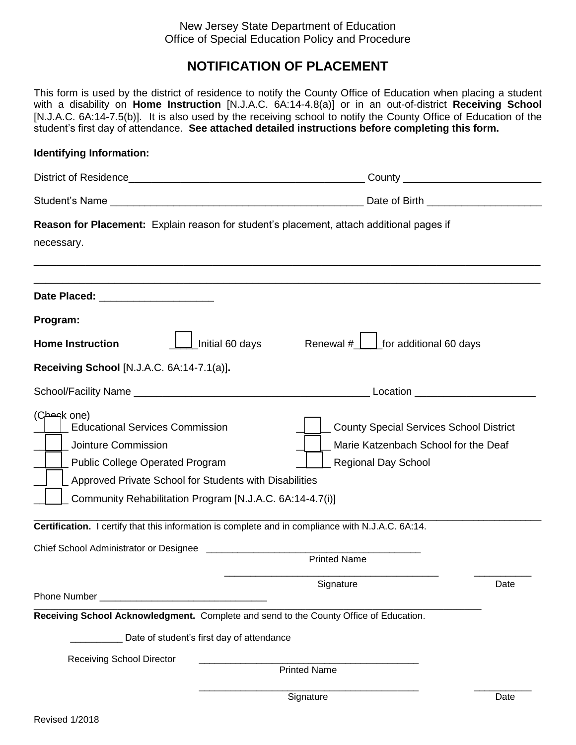#### New Jersey State Department of Education Office of Special Education Policy and Procedure

# **NOTIFICATION OF PLACEMENT**

This form is used by the district of residence to notify the County Office of Education when placing a student with a disability on **Home Instruction** [N.J.A.C. 6A:14-4.8(a)] or in an out-of-district **Receiving School** [N.J.A.C. 6A:14-7.5(b)]. It is also used by the receiving school to notify the County Office of Education of the student's first day of attendance. **See attached detailed instructions before completing this form.**

| <b>Identifying Information:</b>                                                                                                                                                                                                              |                                                                                                                      |
|----------------------------------------------------------------------------------------------------------------------------------------------------------------------------------------------------------------------------------------------|----------------------------------------------------------------------------------------------------------------------|
|                                                                                                                                                                                                                                              |                                                                                                                      |
| Student's Name                                                                                                                                                                                                                               |                                                                                                                      |
| <b>Reason for Placement:</b> Explain reason for student's placement, attach additional pages if<br>necessary.                                                                                                                                |                                                                                                                      |
| Date Placed: _______________________                                                                                                                                                                                                         |                                                                                                                      |
| Program:                                                                                                                                                                                                                                     |                                                                                                                      |
| Initial 60 days<br><b>Home Instruction</b>                                                                                                                                                                                                   | Renewal $\#\_\_\_\$ for additional 60 days                                                                           |
| <b>Receiving School [N.J.A.C. 6A:14-7.1(a)].</b>                                                                                                                                                                                             |                                                                                                                      |
|                                                                                                                                                                                                                                              |                                                                                                                      |
| (Chack one)<br><b>Educational Services Commission</b><br>Jointure Commission<br><b>Public College Operated Program</b><br>Approved Private School for Students with Disabilities<br>Community Rehabilitation Program [N.J.A.C. 6A:14-4.7(i)] | <b>County Special Services School District</b><br>Marie Katzenbach School for the Deaf<br><b>Regional Day School</b> |
| Certification. I certify that this information is complete and in compliance with N.J.A.C. 6A:14.                                                                                                                                            |                                                                                                                      |
| Chief School Administrator or Designee                                                                                                                                                                                                       | <b>Printed Name</b>                                                                                                  |
|                                                                                                                                                                                                                                              | Signature<br>Date                                                                                                    |
| Receiving School Acknowledgment. Complete and send to the County Office of Education.                                                                                                                                                        |                                                                                                                      |
| Date of student's first day of attendance                                                                                                                                                                                                    |                                                                                                                      |
| <b>Receiving School Director</b>                                                                                                                                                                                                             | <b>Printed Name</b>                                                                                                  |
|                                                                                                                                                                                                                                              | Signature<br>Date                                                                                                    |